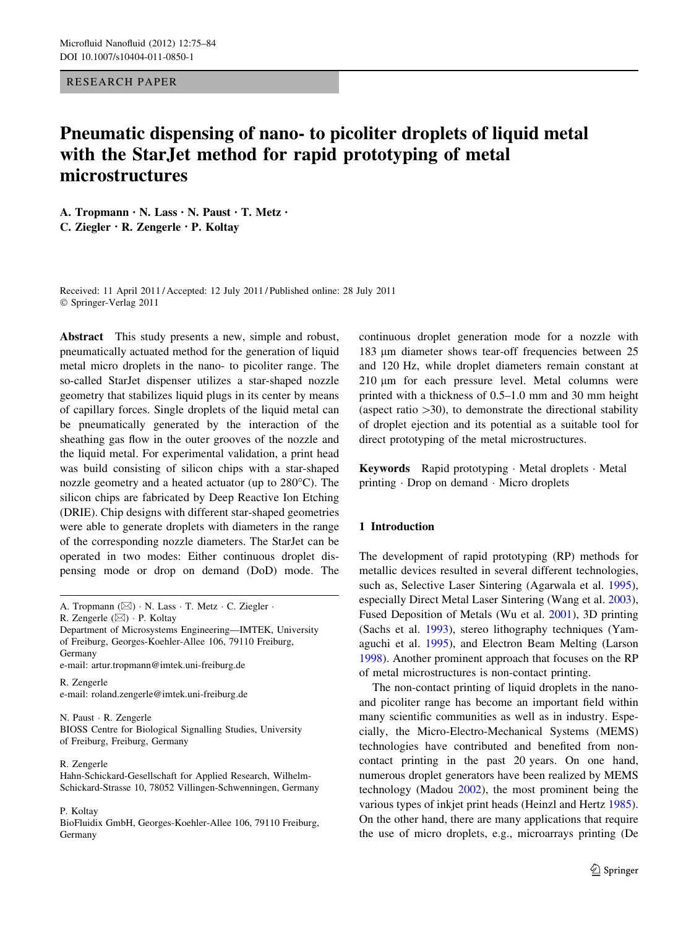RESEARCH PAPER

# Pneumatic dispensing of nano- to picoliter droplets of liquid metal with the StarJet method for rapid prototyping of metal microstructures

A. Tropmann • N. Lass • N. Paust • T. Metz • C. Ziegler • R. Zengerle • P. Koltay

Received: 11 April 2011 / Accepted: 12 July 2011 / Published online: 28 July 2011 © Springer-Verlag 2011

Abstract This study presents a new, simple and robust, pneumatically actuated method for the generation of liquid metal micro droplets in the nano- to picoliter range. The so-called StarJet dispenser utilizes a star-shaped nozzle geometry that stabilizes liquid plugs in its center by means of capillary forces. Single droplets of the liquid metal can be pneumatically generated by the interaction of the sheathing gas flow in the outer grooves of the nozzle and the liquid metal. For experimental validation, a print head was build consisting of silicon chips with a star-shaped nozzle geometry and a heated actuator (up to  $280^{\circ}$ C). The silicon chips are fabricated by Deep Reactive Ion Etching (DRIE). Chip designs with different star-shaped geometries were able to generate droplets with diameters in the range of the corresponding nozzle diameters. The StarJet can be operated in two modes: Either continuous droplet dispensing mode or drop on demand (DoD) mode. The

Department of Microsystems Engineering—IMTEK, University of Freiburg, Georges-Koehler-Allee 106, 79110 Freiburg, Germany e-mail: artur.tropmann@imtek.uni-freiburg.de

R. Zengerle e-mail: roland.zengerle@imtek.uni-freiburg.de

N. Paust - R. Zengerle

BIOSS Centre for Biological Signalling Studies, University of Freiburg, Freiburg, Germany

R. Zengerle

Hahn-Schickard-Gesellschaft for Applied Research, Wilhelm-Schickard-Strasse 10, 78052 Villingen-Schwenningen, Germany

P. Koltay

BioFluidix GmbH, Georges-Koehler-Allee 106, 79110 Freiburg, Germany

continuous droplet generation mode for a nozzle with 183 µm diameter shows tear-off frequencies between 25 and 120 Hz, while droplet diameters remain constant at  $210 \mu m$  for each pressure level. Metal columns were printed with a thickness of 0.5–1.0 mm and 30 mm height (aspect ratio  $>30$ ), to demonstrate the directional stability of droplet ejection and its potential as a suitable tool for direct prototyping of the metal microstructures.

Keywords Rapid prototyping - Metal droplets - Metal printing - Drop on demand - Micro droplets

## 1 Introduction

The development of rapid prototyping (RP) methods for metallic devices resulted in several different technologies, such as, Selective Laser Sintering (Agarwala et al. [1995](#page-9-0)), especially Direct Metal Laser Sintering (Wang et al. [2003](#page-9-0)), Fused Deposition of Metals (Wu et al. [2001\)](#page-9-0), 3D printing (Sachs et al. [1993](#page-9-0)), stereo lithography techniques (Yamaguchi et al. [1995\)](#page-9-0), and Electron Beam Melting (Larson [1998](#page-9-0)). Another prominent approach that focuses on the RP of metal microstructures is non-contact printing.

The non-contact printing of liquid droplets in the nanoand picoliter range has become an important field within many scientific communities as well as in industry. Especially, the Micro-Electro-Mechanical Systems (MEMS) technologies have contributed and benefited from noncontact printing in the past 20 years. On one hand, numerous droplet generators have been realized by MEMS technology (Madou [2002](#page-9-0)), the most prominent being the various types of inkjet print heads (Heinzl and Hertz [1985](#page-9-0)). On the other hand, there are many applications that require the use of micro droplets, e.g., microarrays printing (De

A. Tropmann ( $\boxtimes$ ) · N. Lass · T. Metz · C. Ziegler ·

R. Zengerle (⊠) · P. Koltay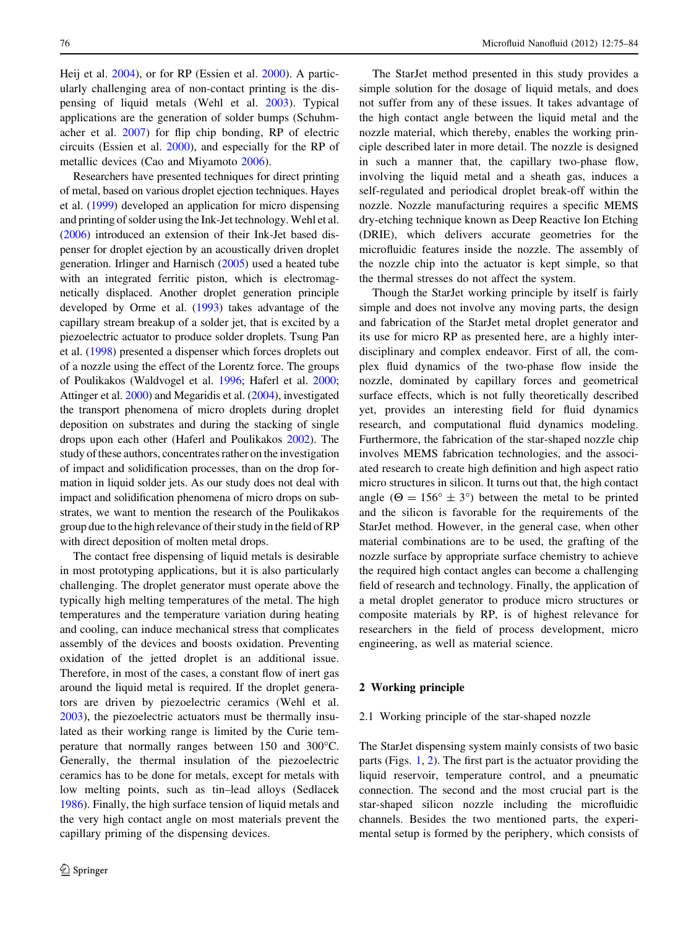Heij et al. [2004](#page-9-0)), or for RP (Essien et al. [2000](#page-9-0)). A particularly challenging area of non-contact printing is the dispensing of liquid metals (Wehl et al. [2003](#page-9-0)). Typical applications are the generation of solder bumps (Schuhmacher et al. [2007](#page-9-0)) for flip chip bonding, RP of electric circuits (Essien et al. [2000\)](#page-9-0), and especially for the RP of metallic devices (Cao and Miyamoto [2006\)](#page-9-0).

Researchers have presented techniques for direct printing of metal, based on various droplet ejection techniques. Hayes et al. [\(1999\)](#page-9-0) developed an application for micro dispensing and printing of solder using the Ink-Jet technology. Wehl et al. [\(2006\)](#page-9-0) introduced an extension of their Ink-Jet based dispenser for droplet ejection by an acoustically driven droplet generation. Irlinger and Harnisch [\(2005\)](#page-9-0) used a heated tube with an integrated ferritic piston, which is electromagnetically displaced. Another droplet generation principle developed by Orme et al. [\(1993\)](#page-9-0) takes advantage of the capillary stream breakup of a solder jet, that is excited by a piezoelectric actuator to produce solder droplets. Tsung Pan et al. [\(1998\)](#page-9-0) presented a dispenser which forces droplets out of a nozzle using the effect of the Lorentz force. The groups of Poulikakos (Waldvogel et al. [1996;](#page-9-0) Haferl et al. [2000](#page-9-0); Attinger et al. [2000](#page-9-0)) and Megaridis et al. [\(2004\)](#page-9-0), investigated the transport phenomena of micro droplets during droplet deposition on substrates and during the stacking of single drops upon each other (Haferl and Poulikakos [2002](#page-9-0)). The study of these authors, concentrates rather on the investigation of impact and solidification processes, than on the drop formation in liquid solder jets. As our study does not deal with impact and solidification phenomena of micro drops on substrates, we want to mention the research of the Poulikakos group due to the high relevance of their study in the field of RP with direct deposition of molten metal drops.

The contact free dispensing of liquid metals is desirable in most prototyping applications, but it is also particularly challenging. The droplet generator must operate above the typically high melting temperatures of the metal. The high temperatures and the temperature variation during heating and cooling, can induce mechanical stress that complicates assembly of the devices and boosts oxidation. Preventing oxidation of the jetted droplet is an additional issue. Therefore, in most of the cases, a constant flow of inert gas around the liquid metal is required. If the droplet generators are driven by piezoelectric ceramics (Wehl et al. [2003\)](#page-9-0), the piezoelectric actuators must be thermally insulated as their working range is limited by the Curie temperature that normally ranges between  $150$  and  $300^{\circ}$ C. Generally, the thermal insulation of the piezoelectric ceramics has to be done for metals, except for metals with low melting points, such as tin–lead alloys (Sedlacek [1986\)](#page-9-0). Finally, the high surface tension of liquid metals and the very high contact angle on most materials prevent the capillary priming of the dispensing devices.

The StarJet method presented in this study provides a simple solution for the dosage of liquid metals, and does not suffer from any of these issues. It takes advantage of the high contact angle between the liquid metal and the nozzle material, which thereby, enables the working principle described later in more detail. The nozzle is designed in such a manner that, the capillary two-phase flow, involving the liquid metal and a sheath gas, induces a self-regulated and periodical droplet break-off within the nozzle. Nozzle manufacturing requires a specific MEMS dry-etching technique known as Deep Reactive Ion Etching (DRIE), which delivers accurate geometries for the microfluidic features inside the nozzle. The assembly of the nozzle chip into the actuator is kept simple, so that the thermal stresses do not affect the system.

Though the StarJet working principle by itself is fairly simple and does not involve any moving parts, the design and fabrication of the StarJet metal droplet generator and its use for micro RP as presented here, are a highly interdisciplinary and complex endeavor. First of all, the complex fluid dynamics of the two-phase flow inside the nozzle, dominated by capillary forces and geometrical surface effects, which is not fully theoretically described yet, provides an interesting field for fluid dynamics research, and computational fluid dynamics modeling. Furthermore, the fabrication of the star-shaped nozzle chip involves MEMS fabrication technologies, and the associated research to create high definition and high aspect ratio micro structures in silicon. It turns out that, the high contact angle ( $\Theta = 156^\circ \pm 3^\circ$ ) between the metal to be printed and the silicon is favorable for the requirements of the StarJet method. However, in the general case, when other material combinations are to be used, the grafting of the nozzle surface by appropriate surface chemistry to achieve the required high contact angles can become a challenging field of research and technology. Finally, the application of a metal droplet generator to produce micro structures or composite materials by RP, is of highest relevance for researchers in the field of process development, micro engineering, as well as material science.

## 2 Working principle

#### 2.1 Working principle of the star-shaped nozzle

The StarJet dispensing system mainly consists of two basic parts (Figs. [1](#page-2-0), [2](#page-2-0)). The first part is the actuator providing the liquid reservoir, temperature control, and a pneumatic connection. The second and the most crucial part is the star-shaped silicon nozzle including the microfluidic channels. Besides the two mentioned parts, the experimental setup is formed by the periphery, which consists of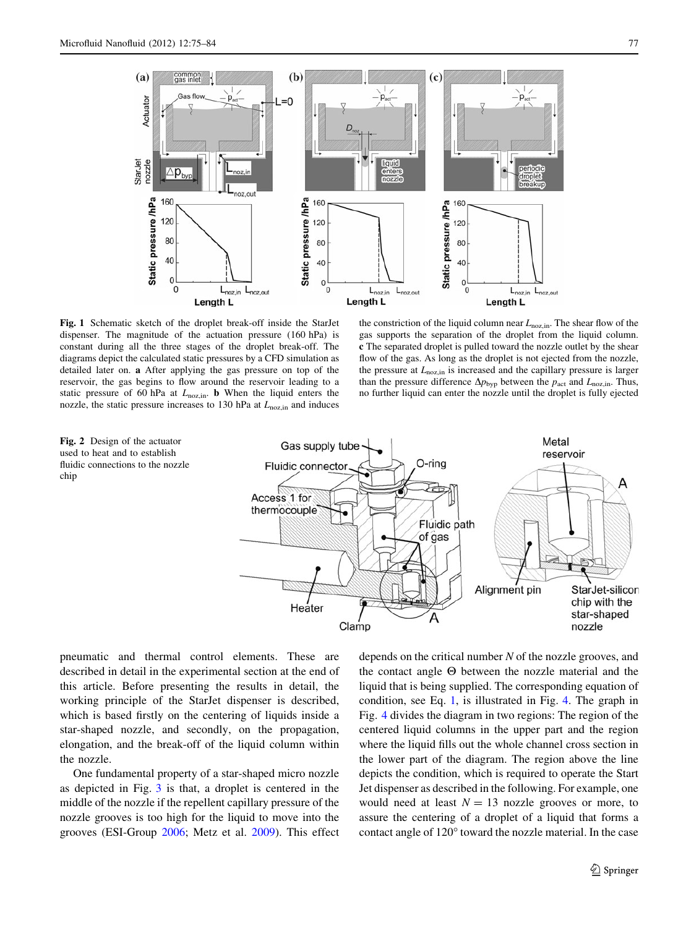<span id="page-2-0"></span>

Fig. 1 Schematic sketch of the droplet break-off inside the StarJet dispenser. The magnitude of the actuation pressure (160 hPa) is constant during all the three stages of the droplet break-off. The diagrams depict the calculated static pressures by a CFD simulation as detailed later on. a After applying the gas pressure on top of the reservoir, the gas begins to flow around the reservoir leading to a static pressure of 60 hPa at  $L_{\text{noz,in}}$ . **b** When the liquid enters the nozzle, the static pressure increases to 130 hPa at  $L_{\text{noz,in}}$  and induces

the constriction of the liquid column near  $L_{\text{noz,in}}$ . The shear flow of the gas supports the separation of the droplet from the liquid column. c The separated droplet is pulled toward the nozzle outlet by the shear flow of the gas. As long as the droplet is not ejected from the nozzle, the pressure at  $L_{\text{noz,in}}$  is increased and the capillary pressure is larger than the pressure difference  $\Delta p_{\text{hyp}}$  between the  $p_{\text{act}}$  and  $L_{\text{noz,in}}$ . Thus, no further liquid can enter the nozzle until the droplet is fully ejected



pneumatic and thermal control elements. These are described in detail in the experimental section at the end of this article. Before presenting the results in detail, the working principle of the StarJet dispenser is described, which is based firstly on the centering of liquids inside a star-shaped nozzle, and secondly, on the propagation, elongation, and the break-off of the liquid column within the nozzle.

One fundamental property of a star-shaped micro nozzle as depicted in Fig. [3](#page-3-0) is that, a droplet is centered in the middle of the nozzle if the repellent capillary pressure of the nozzle grooves is too high for the liquid to move into the grooves (ESI-Group [2006;](#page-9-0) Metz et al. [2009\)](#page-9-0). This effect depends on the critical number  $N$  of the nozzle grooves, and the contact angle  $\Theta$  between the nozzle material and the liquid that is being supplied. The corresponding equation of condition, see Eq. [1,](#page-3-0) is illustrated in Fig. [4](#page-3-0). The graph in Fig. [4](#page-3-0) divides the diagram in two regions: The region of the centered liquid columns in the upper part and the region where the liquid fills out the whole channel cross section in the lower part of the diagram. The region above the line depicts the condition, which is required to operate the Start Jet dispenser as described in the following. For example, one would need at least  $N = 13$  nozzle grooves or more, to assure the centering of a droplet of a liquid that forms a contact angle of  $120^{\circ}$  toward the nozzle material. In the case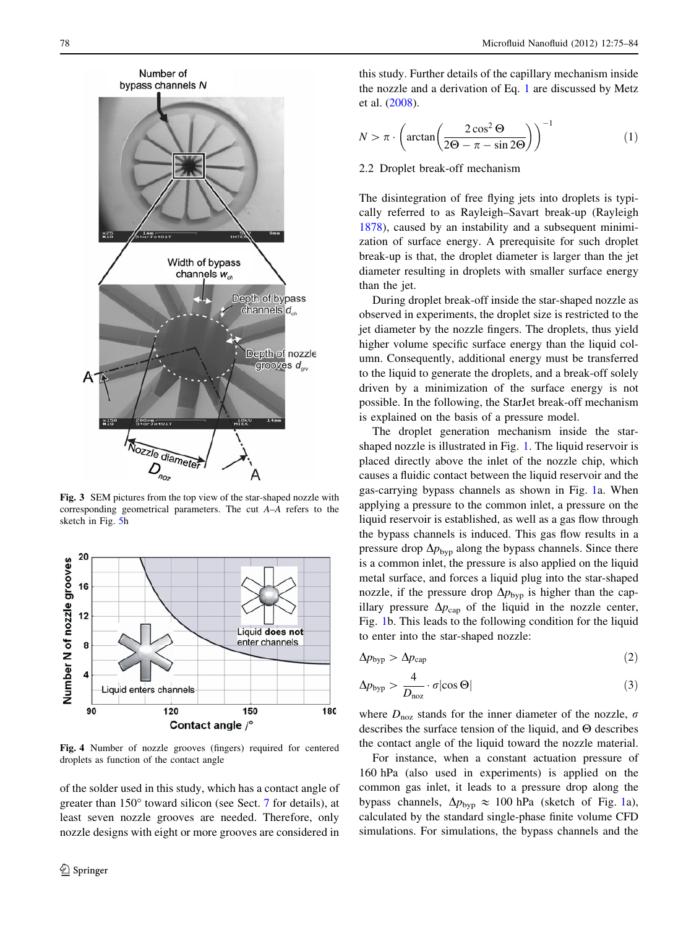<span id="page-3-0"></span>

Fig. 3 SEM pictures from the top view of the star-shaped nozzle with corresponding geometrical parameters. The cut A–A refers to the sketch in Fig. [5](#page-4-0)h



Fig. 4 Number of nozzle grooves (fingers) required for centered droplets as function of the contact angle

of the solder used in this study, which has a contact angle of greater than  $150^{\circ}$  toward silicon (see Sect. [7](#page-8-0) for details), at least seven nozzle grooves are needed. Therefore, only nozzle designs with eight or more grooves are considered in

this study. Further details of the capillary mechanism inside the nozzle and a derivation of Eq. 1 are discussed by Metz et al. ([2008\)](#page-9-0).

$$
N > \pi \cdot \left(\arctan\left(\frac{2\cos^2\Theta}{2\Theta - \pi - \sin 2\Theta}\right)\right)^{-1}
$$
 (1)

#### 2.2 Droplet break-off mechanism

The disintegration of free flying jets into droplets is typically referred to as Rayleigh–Savart break-up (Rayleigh [1878](#page-9-0)), caused by an instability and a subsequent minimization of surface energy. A prerequisite for such droplet break-up is that, the droplet diameter is larger than the jet diameter resulting in droplets with smaller surface energy than the jet.

During droplet break-off inside the star-shaped nozzle as observed in experiments, the droplet size is restricted to the jet diameter by the nozzle fingers. The droplets, thus yield higher volume specific surface energy than the liquid column. Consequently, additional energy must be transferred to the liquid to generate the droplets, and a break-off solely driven by a minimization of the surface energy is not possible. In the following, the StarJet break-off mechanism is explained on the basis of a pressure model.

The droplet generation mechanism inside the starshaped nozzle is illustrated in Fig. [1.](#page-2-0) The liquid reservoir is placed directly above the inlet of the nozzle chip, which causes a fluidic contact between the liquid reservoir and the gas-carrying bypass channels as shown in Fig. [1](#page-2-0)a. When applying a pressure to the common inlet, a pressure on the liquid reservoir is established, as well as a gas flow through the bypass channels is induced. This gas flow results in a pressure drop  $\Delta p_{\text{bvp}}$  along the bypass channels. Since there is a common inlet, the pressure is also applied on the liquid metal surface, and forces a liquid plug into the star-shaped nozzle, if the pressure drop  $\Delta p_{\text{hyp}}$  is higher than the capillary pressure  $\Delta p_{\text{cap}}$  of the liquid in the nozzle center, Fig. [1](#page-2-0)b. This leads to the following condition for the liquid to enter into the star-shaped nozzle:

$$
\Delta p_{\rm typ} > \Delta p_{\rm cap} \tag{2}
$$

$$
\Delta p_{\text{hyp}} > \frac{4}{D_{\text{noz}}} \cdot \sigma |\cos \Theta| \tag{3}
$$

where  $D_{\text{noz}}$  stands for the inner diameter of the nozzle,  $\sigma$ describes the surface tension of the liquid, and  $\Theta$  describes the contact angle of the liquid toward the nozzle material.

For instance, when a constant actuation pressure of 160 hPa (also used in experiments) is applied on the common gas inlet, it leads to a pressure drop along the bypass channels,  $\Delta p_{\text{bvp}} \approx 100$  hPa (sketch of Fig. [1a](#page-2-0)), calculated by the standard single-phase finite volume CFD simulations. For simulations, the bypass channels and the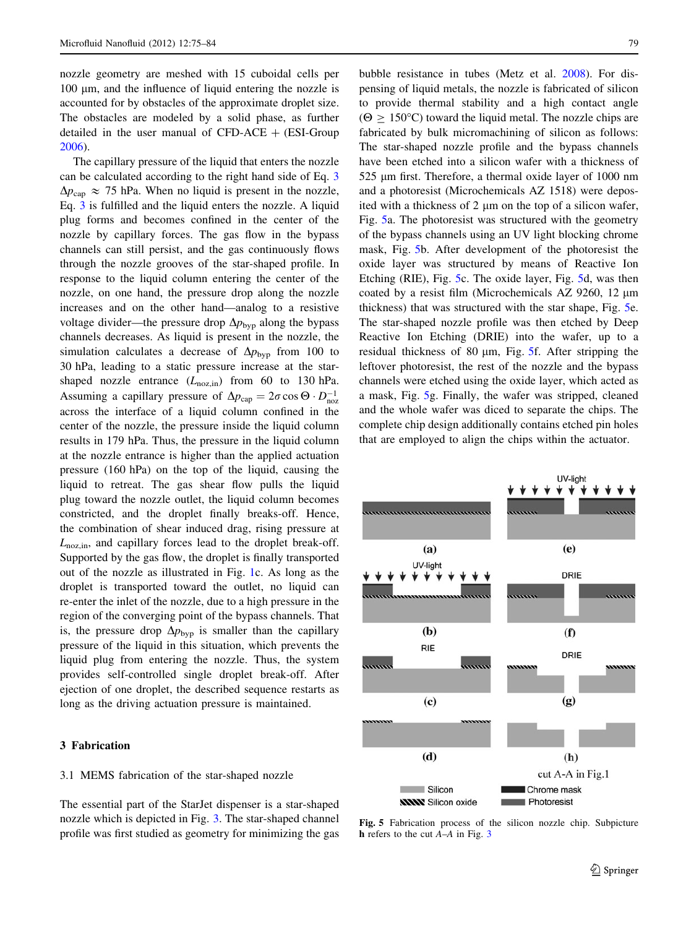<span id="page-4-0"></span>nozzle geometry are meshed with 15 cuboidal cells per 100  $\mu$ m, and the influence of liquid entering the nozzle is accounted for by obstacles of the approximate droplet size. The obstacles are modeled by a solid phase, as further detailed in the user manual of  $CFD-ACE + (ESI-Group)$ [2006\)](#page-9-0).

The capillary pressure of the liquid that enters the nozzle can be calculated according to the right hand side of Eq. [3](#page-3-0)  $\Delta p_{\text{cap}} \approx 75$  hPa. When no liquid is present in the nozzle, Eq. [3](#page-3-0) is fulfilled and the liquid enters the nozzle. A liquid plug forms and becomes confined in the center of the nozzle by capillary forces. The gas flow in the bypass channels can still persist, and the gas continuously flows through the nozzle grooves of the star-shaped profile. In response to the liquid column entering the center of the nozzle, on one hand, the pressure drop along the nozzle increases and on the other hand—analog to a resistive voltage divider—the pressure drop  $\Delta p_{\text{bvp}}$  along the bypass channels decreases. As liquid is present in the nozzle, the simulation calculates a decrease of  $\Delta p_{\text{bvp}}$  from 100 to 30 hPa, leading to a static pressure increase at the starshaped nozzle entrance  $(L_{\text{noz,in}})$  from 60 to 130 hPa. Assuming a capillary pressure of  $\Delta p_{\text{cap}} = 2\sigma \cos \Theta \cdot D_{\text{noz}}^{-1}$ across the interface of a liquid column confined in the center of the nozzle, the pressure inside the liquid column results in 179 hPa. Thus, the pressure in the liquid column at the nozzle entrance is higher than the applied actuation pressure (160 hPa) on the top of the liquid, causing the liquid to retreat. The gas shear flow pulls the liquid plug toward the nozzle outlet, the liquid column becomes constricted, and the droplet finally breaks-off. Hence, the combination of shear induced drag, rising pressure at  $L_{\text{noz,in}}$ , and capillary forces lead to the droplet break-off. Supported by the gas flow, the droplet is finally transported out of the nozzle as illustrated in Fig. [1c](#page-2-0). As long as the droplet is transported toward the outlet, no liquid can re-enter the inlet of the nozzle, due to a high pressure in the region of the converging point of the bypass channels. That is, the pressure drop  $\Delta p_{\text{hyp}}$  is smaller than the capillary pressure of the liquid in this situation, which prevents the liquid plug from entering the nozzle. Thus, the system provides self-controlled single droplet break-off. After ejection of one droplet, the described sequence restarts as long as the driving actuation pressure is maintained.

## 3 Fabrication

#### 3.1 MEMS fabrication of the star-shaped nozzle

The essential part of the StarJet dispenser is a star-shaped nozzle which is depicted in Fig. [3.](#page-3-0) The star-shaped channel profile was first studied as geometry for minimizing the gas bubble resistance in tubes (Metz et al. [2008](#page-9-0)). For dispensing of liquid metals, the nozzle is fabricated of silicon to provide thermal stability and a high contact angle ( $\Theta \geq 150^{\circ}$ C) toward the liquid metal. The nozzle chips are fabricated by bulk micromachining of silicon as follows: The star-shaped nozzle profile and the bypass channels have been etched into a silicon wafer with a thickness of 525 µm first. Therefore, a thermal oxide layer of 1000 nm and a photoresist (Microchemicals AZ 1518) were deposited with a thickness of 2 µm on the top of a silicon wafer, Fig. 5a. The photoresist was structured with the geometry of the bypass channels using an UV light blocking chrome mask, Fig. 5b. After development of the photoresist the oxide layer was structured by means of Reactive Ion Etching (RIE), Fig. 5c. The oxide layer, Fig. 5d, was then coated by a resist film (Microchemicals AZ 9260, 12 µm thickness) that was structured with the star shape, Fig. 5e. The star-shaped nozzle profile was then etched by Deep Reactive Ion Etching (DRIE) into the wafer, up to a residual thickness of 80  $\mu$ m, Fig. 5f. After stripping the leftover photoresist, the rest of the nozzle and the bypass channels were etched using the oxide layer, which acted as a mask, Fig. 5g. Finally, the wafer was stripped, cleaned and the whole wafer was diced to separate the chips. The complete chip design additionally contains etched pin holes that are employed to align the chips within the actuator.



Fig. 5 Fabrication process of the silicon nozzle chip. Subpicture **h** refers to the cut  $A-A$  in Fig. [3](#page-3-0)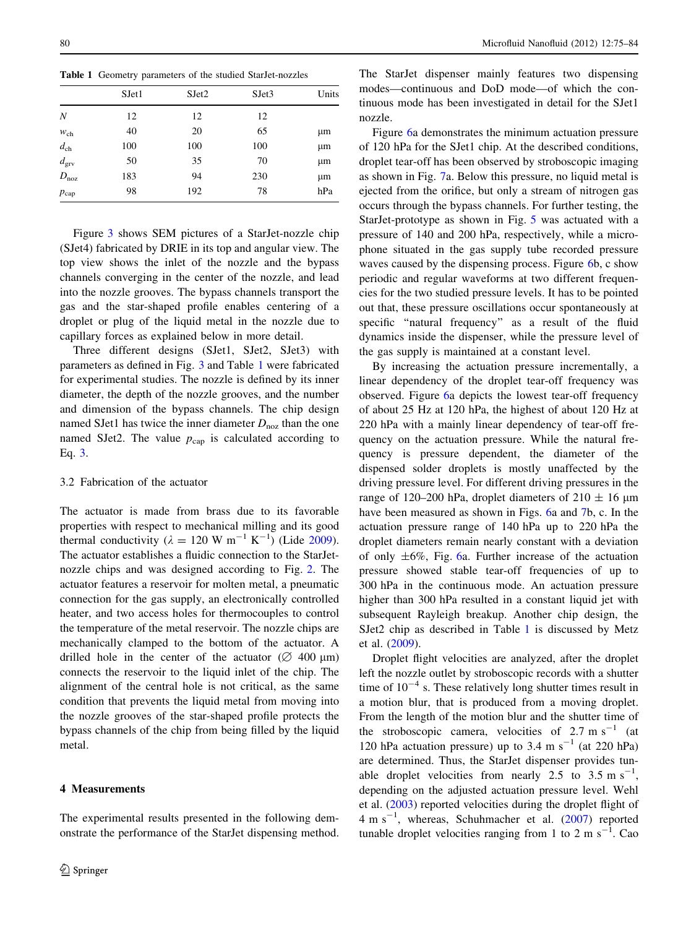<span id="page-5-0"></span>Table 1 Geometry parameters of the studied StarJet-nozzles

|                  | SJet1 | SJet2 | SJet3 | Units |
|------------------|-------|-------|-------|-------|
| N                | 12    | 12    | 12    |       |
| $W_{\rm ch}$     | 40    | 20    | 65    | μm    |
| $d_{\rm ch}$     | 100   | 100   | 100   | μm    |
| $d_{\rm grv}$    | 50    | 35    | 70    | μm    |
| $D_{\text{noz}}$ | 183   | 94    | 230   | μm    |
| $p_{cap}$        | 98    | 192   | 78    | hPa   |

Figure [3](#page-3-0) shows SEM pictures of a StarJet-nozzle chip (SJet4) fabricated by DRIE in its top and angular view. The top view shows the inlet of the nozzle and the bypass channels converging in the center of the nozzle, and lead into the nozzle grooves. The bypass channels transport the gas and the star-shaped profile enables centering of a droplet or plug of the liquid metal in the nozzle due to capillary forces as explained below in more detail.

Three different designs (SJet1, SJet2, SJet3) with parameters as defined in Fig. [3](#page-3-0) and Table 1 were fabricated for experimental studies. The nozzle is defined by its inner diameter, the depth of the nozzle grooves, and the number and dimension of the bypass channels. The chip design named SJet1 has twice the inner diameter  $D_{\text{noz}}$  than the one named SJet2. The value  $p_{\text{cap}}$  is calculated according to Eq. [3.](#page-3-0)

## 3.2 Fabrication of the actuator

The actuator is made from brass due to its favorable properties with respect to mechanical milling and its good thermal conductivity ( $\lambda = 120$  W m<sup>-1</sup> K<sup>-1</sup>) (Lide [2009](#page-9-0)). The actuator establishes a fluidic connection to the StarJetnozzle chips and was designed according to Fig. [2.](#page-2-0) The actuator features a reservoir for molten metal, a pneumatic connection for the gas supply, an electronically controlled heater, and two access holes for thermocouples to control the temperature of the metal reservoir. The nozzle chips are mechanically clamped to the bottom of the actuator. A drilled hole in the center of the actuator  $(\emptyset 400 \,\mu m)$ connects the reservoir to the liquid inlet of the chip. The alignment of the central hole is not critical, as the same condition that prevents the liquid metal from moving into the nozzle grooves of the star-shaped profile protects the bypass channels of the chip from being filled by the liquid metal.

#### 4 Measurements

The experimental results presented in the following demonstrate the performance of the StarJet dispensing method.

The StarJet dispenser mainly features two dispensing modes—continuous and DoD mode—of which the continuous mode has been investigated in detail for the SJet1 nozzle.

Figure [6a](#page-6-0) demonstrates the minimum actuation pressure of 120 hPa for the SJet1 chip. At the described conditions, droplet tear-off has been observed by stroboscopic imaging as shown in Fig. [7](#page-6-0)a. Below this pressure, no liquid metal is ejected from the orifice, but only a stream of nitrogen gas occurs through the bypass channels. For further testing, the StarJet-prototype as shown in Fig. [5](#page-4-0) was actuated with a pressure of 140 and 200 hPa, respectively, while a microphone situated in the gas supply tube recorded pressure waves caused by the dispensing process. Figure [6b](#page-6-0), c show periodic and regular waveforms at two different frequencies for the two studied pressure levels. It has to be pointed out that, these pressure oscillations occur spontaneously at specific ''natural frequency'' as a result of the fluid dynamics inside the dispenser, while the pressure level of the gas supply is maintained at a constant level.

By increasing the actuation pressure incrementally, a linear dependency of the droplet tear-off frequency was observed. Figure [6](#page-6-0)a depicts the lowest tear-off frequency of about 25 Hz at 120 hPa, the highest of about 120 Hz at 220 hPa with a mainly linear dependency of tear-off frequency on the actuation pressure. While the natural frequency is pressure dependent, the diameter of the dispensed solder droplets is mostly unaffected by the driving pressure level. For different driving pressures in the range of 120–200 hPa, droplet diameters of  $210 \pm 16$  µm have been measured as shown in Figs. [6](#page-6-0)a and [7](#page-6-0)b, c. In the actuation pressure range of 140 hPa up to 220 hPa the droplet diameters remain nearly constant with a deviation of only  $\pm 6\%$  $\pm 6\%$  $\pm 6\%$ , Fig. 6a. Further increase of the actuation pressure showed stable tear-off frequencies of up to 300 hPa in the continuous mode. An actuation pressure higher than 300 hPa resulted in a constant liquid jet with subsequent Rayleigh breakup. Another chip design, the SJet2 chip as described in Table 1 is discussed by Metz et al. [\(2009](#page-9-0)).

Droplet flight velocities are analyzed, after the droplet left the nozzle outlet by stroboscopic records with a shutter time of  $10^{-4}$  s. These relatively long shutter times result in a motion blur, that is produced from a moving droplet. From the length of the motion blur and the shutter time of the stroboscopic camera, velocities of  $2.7 \text{ m s}^{-1}$  (at 120 hPa actuation pressure) up to 3.4 m  $s^{-1}$  (at 220 hPa) are determined. Thus, the StarJet dispenser provides tunable droplet velocities from nearly 2.5 to 3.5 m  $s^{-1}$ , depending on the adjusted actuation pressure level. Wehl et al. [\(2003](#page-9-0)) reported velocities during the droplet flight of  $4 \text{ m s}^{-1}$ , whereas, Schuhmacher et al. ([2007\)](#page-9-0) reported tunable droplet velocities ranging from 1 to 2 m  $s^{-1}$ . Cao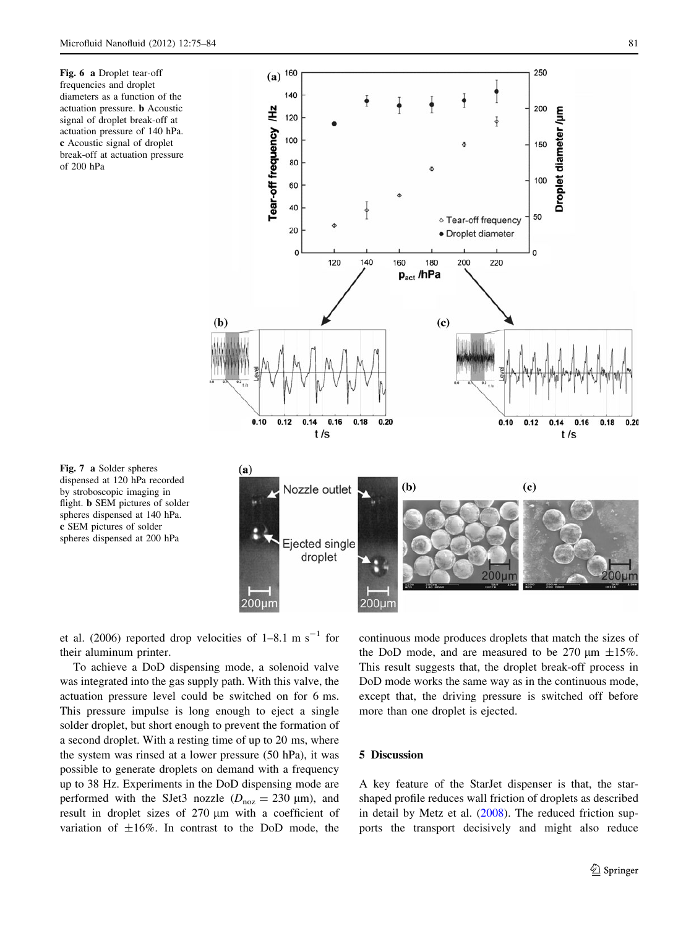<span id="page-6-0"></span>Fig. 6 a Droplet tear-off frequencies and droplet diameters as a function of the actuation pressure. b Acoustic signal of droplet break-off at actuation pressure of 140 hPa. c Acoustic signal of droplet break-off at actuation pressure of 200 hPa



Fig. 7 a Solder spheres dispensed at 120 hPa recorded by stroboscopic imaging in flight. **b** SEM pictures of solder spheres dispensed at 140 hPa. c SEM pictures of solder spheres dispensed at 200 hPa

et al. (2006) reported drop velocities of  $1-8.1 \text{ m s}^{-1}$  for their aluminum printer.

To achieve a DoD dispensing mode, a solenoid valve was integrated into the gas supply path. With this valve, the actuation pressure level could be switched on for 6 ms. This pressure impulse is long enough to eject a single solder droplet, but short enough to prevent the formation of a second droplet. With a resting time of up to 20 ms, where the system was rinsed at a lower pressure (50 hPa), it was possible to generate droplets on demand with a frequency up to 38 Hz. Experiments in the DoD dispensing mode are performed with the SJet3 nozzle ( $D_{\text{noz}} = 230 \text{ }\mu\text{m}$ ), and result in droplet sizes of 270  $\mu$ m with a coefficient of variation of  $\pm 16\%$ . In contrast to the DoD mode, the

continuous mode produces droplets that match the sizes of the DoD mode, and are measured to be 270  $\mu$ m  $\pm$ 15%. This result suggests that, the droplet break-off process in DoD mode works the same way as in the continuous mode, except that, the driving pressure is switched off before more than one droplet is ejected.

## 5 Discussion

A key feature of the StarJet dispenser is that, the starshaped profile reduces wall friction of droplets as described in detail by Metz et al. ([2008\)](#page-9-0). The reduced friction supports the transport decisively and might also reduce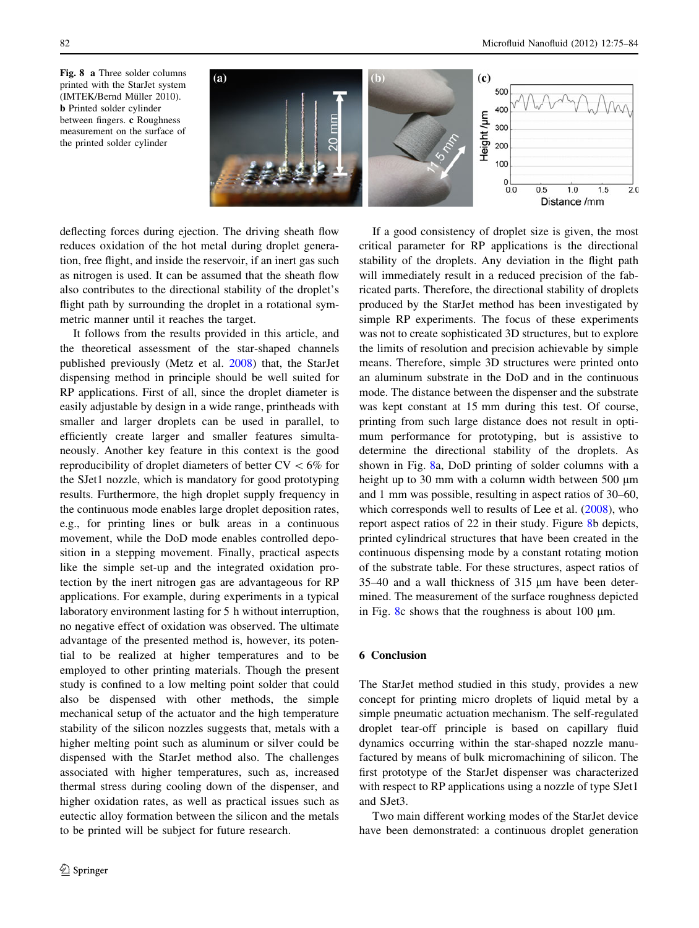



deflecting forces during ejection. The driving sheath flow reduces oxidation of the hot metal during droplet generation, free flight, and inside the reservoir, if an inert gas such as nitrogen is used. It can be assumed that the sheath flow also contributes to the directional stability of the droplet's flight path by surrounding the droplet in a rotational symmetric manner until it reaches the target.

It follows from the results provided in this article, and the theoretical assessment of the star-shaped channels published previously (Metz et al. [2008](#page-9-0)) that, the StarJet dispensing method in principle should be well suited for RP applications. First of all, since the droplet diameter is easily adjustable by design in a wide range, printheads with smaller and larger droplets can be used in parallel, to efficiently create larger and smaller features simultaneously. Another key feature in this context is the good reproducibility of droplet diameters of better  $CV < 6\%$  for the SJet1 nozzle, which is mandatory for good prototyping results. Furthermore, the high droplet supply frequency in the continuous mode enables large droplet deposition rates, e.g., for printing lines or bulk areas in a continuous movement, while the DoD mode enables controlled deposition in a stepping movement. Finally, practical aspects like the simple set-up and the integrated oxidation protection by the inert nitrogen gas are advantageous for RP applications. For example, during experiments in a typical laboratory environment lasting for 5 h without interruption, no negative effect of oxidation was observed. The ultimate advantage of the presented method is, however, its potential to be realized at higher temperatures and to be employed to other printing materials. Though the present study is confined to a low melting point solder that could also be dispensed with other methods, the simple mechanical setup of the actuator and the high temperature stability of the silicon nozzles suggests that, metals with a higher melting point such as aluminum or silver could be dispensed with the StarJet method also. The challenges associated with higher temperatures, such as, increased thermal stress during cooling down of the dispenser, and higher oxidation rates, as well as practical issues such as eutectic alloy formation between the silicon and the metals to be printed will be subject for future research.

If a good consistency of droplet size is given, the most critical parameter for RP applications is the directional stability of the droplets. Any deviation in the flight path will immediately result in a reduced precision of the fabricated parts. Therefore, the directional stability of droplets produced by the StarJet method has been investigated by simple RP experiments. The focus of these experiments was not to create sophisticated 3D structures, but to explore the limits of resolution and precision achievable by simple means. Therefore, simple 3D structures were printed onto an aluminum substrate in the DoD and in the continuous mode. The distance between the dispenser and the substrate was kept constant at 15 mm during this test. Of course, printing from such large distance does not result in optimum performance for prototyping, but is assistive to determine the directional stability of the droplets. As shown in Fig. 8a, DoD printing of solder columns with a height up to 30 mm with a column width between 500 µm and 1 mm was possible, resulting in aspect ratios of 30–60, which corresponds well to results of Lee et al.  $(2008)$  $(2008)$ , who report aspect ratios of 22 in their study. Figure 8b depicts, printed cylindrical structures that have been created in the continuous dispensing mode by a constant rotating motion of the substrate table. For these structures, aspect ratios of  $35-40$  and a wall thickness of  $315 \mu m$  have been determined. The measurement of the surface roughness depicted in Fig. 8c shows that the roughness is about  $100 \mu m$ .

#### 6 Conclusion

The StarJet method studied in this study, provides a new concept for printing micro droplets of liquid metal by a simple pneumatic actuation mechanism. The self-regulated droplet tear-off principle is based on capillary fluid dynamics occurring within the star-shaped nozzle manufactured by means of bulk micromachining of silicon. The first prototype of the StarJet dispenser was characterized with respect to RP applications using a nozzle of type SJet1 and SJet3.

Two main different working modes of the StarJet device have been demonstrated: a continuous droplet generation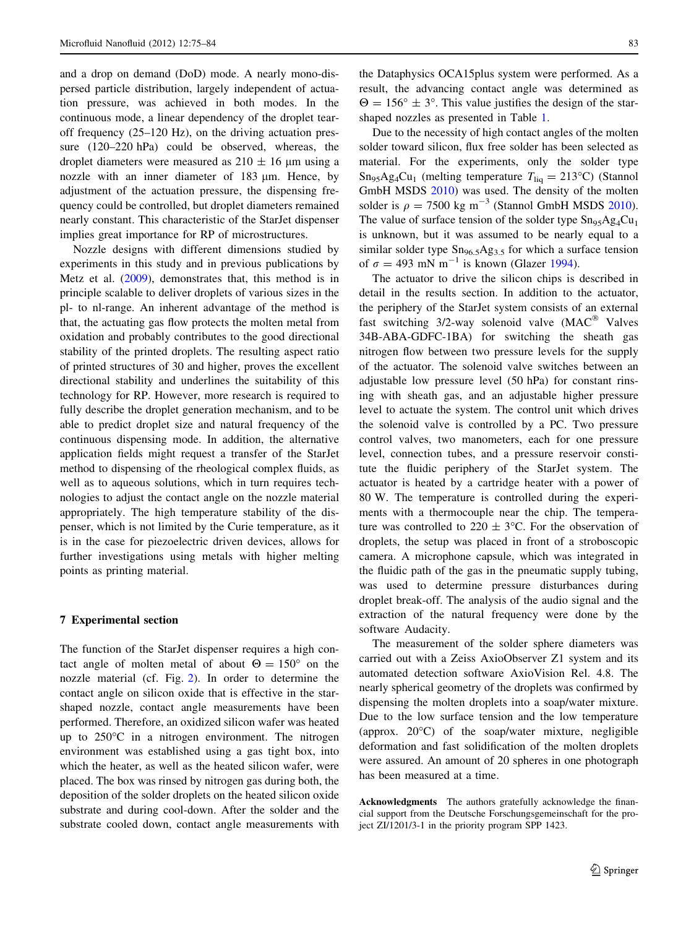<span id="page-8-0"></span>and a drop on demand (DoD) mode. A nearly mono-dispersed particle distribution, largely independent of actuation pressure, was achieved in both modes. In the continuous mode, a linear dependency of the droplet tearoff frequency (25–120 Hz), on the driving actuation pressure (120–220 hPa) could be observed, whereas, the droplet diameters were measured as  $210 \pm 16$  µm using a nozzle with an inner diameter of 183 µm. Hence, by adjustment of the actuation pressure, the dispensing frequency could be controlled, but droplet diameters remained nearly constant. This characteristic of the StarJet dispenser implies great importance for RP of microstructures.

Nozzle designs with different dimensions studied by experiments in this study and in previous publications by Metz et al. ([2009\)](#page-9-0), demonstrates that, this method is in principle scalable to deliver droplets of various sizes in the pl- to nl-range. An inherent advantage of the method is that, the actuating gas flow protects the molten metal from oxidation and probably contributes to the good directional stability of the printed droplets. The resulting aspect ratio of printed structures of 30 and higher, proves the excellent directional stability and underlines the suitability of this technology for RP. However, more research is required to fully describe the droplet generation mechanism, and to be able to predict droplet size and natural frequency of the continuous dispensing mode. In addition, the alternative application fields might request a transfer of the StarJet method to dispensing of the rheological complex fluids, as well as to aqueous solutions, which in turn requires technologies to adjust the contact angle on the nozzle material appropriately. The high temperature stability of the dispenser, which is not limited by the Curie temperature, as it is in the case for piezoelectric driven devices, allows for further investigations using metals with higher melting points as printing material.

## 7 Experimental section

The function of the StarJet dispenser requires a high contact angle of molten metal of about  $\Theta = 150^{\circ}$  on the nozzle material (cf. Fig. [2](#page-2-0)). In order to determine the contact angle on silicon oxide that is effective in the starshaped nozzle, contact angle measurements have been performed. Therefore, an oxidized silicon wafer was heated up to  $250^{\circ}$ C in a nitrogen environment. The nitrogen environment was established using a gas tight box, into which the heater, as well as the heated silicon wafer, were placed. The box was rinsed by nitrogen gas during both, the deposition of the solder droplets on the heated silicon oxide substrate and during cool-down. After the solder and the substrate cooled down, contact angle measurements with

the Dataphysics OCA15plus system were performed. As a result, the advancing contact angle was determined as  $\Theta = 156^\circ \pm 3^\circ$ . This value justifies the design of the starshaped nozzles as presented in Table [1](#page-5-0).

Due to the necessity of high contact angles of the molten solder toward silicon, flux free solder has been selected as material. For the experiments, only the solder type  $Sn_{95}Ag_4Cu_1$  (melting temperature  $T_{liq} = 213^{\circ}C$ ) (Stannol GmbH MSDS [2010](#page-9-0)) was used. The density of the molten solder is  $\rho = 7500 \text{ kg m}^{-3}$  (Stannol GmbH MSDS [2010](#page-9-0)). The value of surface tension of the solder type  $\text{Sn}_{95} \text{Ag}_{4} \text{Cu}_{1}$ is unknown, but it was assumed to be nearly equal to a similar solder type  $Sn_{96.5}Ag_{3.5}$  for which a surface tension of  $\sigma = 493$  mN m<sup>-1</sup> is known (Glazer [1994\)](#page-9-0).

The actuator to drive the silicon chips is described in detail in the results section. In addition to the actuator, the periphery of the StarJet system consists of an external fast switching  $3/2$ -way solenoid valve (MAC<sup>®</sup> Valves 34B-ABA-GDFC-1BA) for switching the sheath gas nitrogen flow between two pressure levels for the supply of the actuator. The solenoid valve switches between an adjustable low pressure level (50 hPa) for constant rinsing with sheath gas, and an adjustable higher pressure level to actuate the system. The control unit which drives the solenoid valve is controlled by a PC. Two pressure control valves, two manometers, each for one pressure level, connection tubes, and a pressure reservoir constitute the fluidic periphery of the StarJet system. The actuator is heated by a cartridge heater with a power of 80 W. The temperature is controlled during the experiments with a thermocouple near the chip. The temperature was controlled to  $220 \pm 3$ °C. For the observation of droplets, the setup was placed in front of a stroboscopic camera. A microphone capsule, which was integrated in the fluidic path of the gas in the pneumatic supply tubing, was used to determine pressure disturbances during droplet break-off. The analysis of the audio signal and the extraction of the natural frequency were done by the software Audacity.

The measurement of the solder sphere diameters was carried out with a Zeiss AxioObserver Z1 system and its automated detection software AxioVision Rel. 4.8. The nearly spherical geometry of the droplets was confirmed by dispensing the molten droplets into a soap/water mixture. Due to the low surface tension and the low temperature (approx.  $20^{\circ}$ C) of the soap/water mixture, negligible deformation and fast solidification of the molten droplets were assured. An amount of 20 spheres in one photograph has been measured at a time.

Acknowledgments The authors gratefully acknowledge the financial support from the Deutsche Forschungsgemeinschaft for the project ZI/1201/3-1 in the priority program SPP 1423.